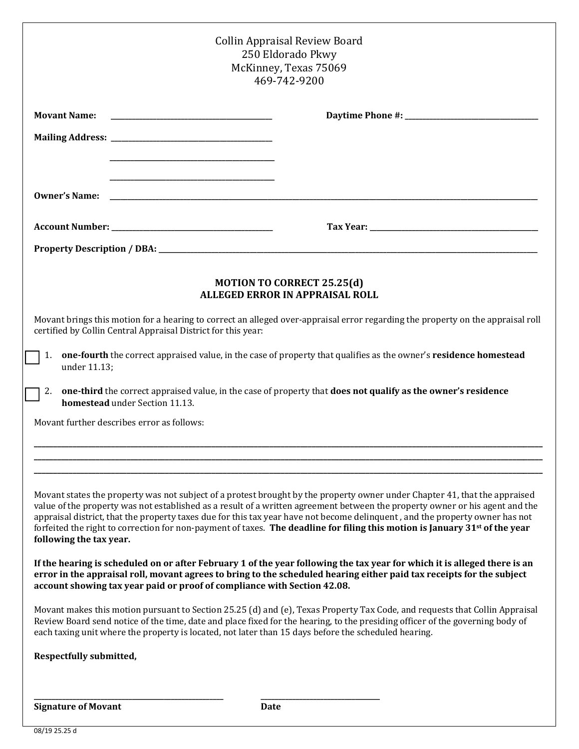| <b>Collin Appraisal Review Board</b><br>250 Eldorado Pkwy<br>McKinney, Texas 75069<br>469-742-9200                                                                                                                                                                                                                                                                                                                                                                                                                                                               |                                                                                                               |
|------------------------------------------------------------------------------------------------------------------------------------------------------------------------------------------------------------------------------------------------------------------------------------------------------------------------------------------------------------------------------------------------------------------------------------------------------------------------------------------------------------------------------------------------------------------|---------------------------------------------------------------------------------------------------------------|
| <b>Movant Name:</b>                                                                                                                                                                                                                                                                                                                                                                                                                                                                                                                                              |                                                                                                               |
|                                                                                                                                                                                                                                                                                                                                                                                                                                                                                                                                                                  |                                                                                                               |
|                                                                                                                                                                                                                                                                                                                                                                                                                                                                                                                                                                  |                                                                                                               |
| <u> 1989 - Johann Barbara, margaret eta idazlea (h. 1989).</u><br><b>Owner's Name:</b>                                                                                                                                                                                                                                                                                                                                                                                                                                                                           |                                                                                                               |
|                                                                                                                                                                                                                                                                                                                                                                                                                                                                                                                                                                  |                                                                                                               |
|                                                                                                                                                                                                                                                                                                                                                                                                                                                                                                                                                                  |                                                                                                               |
| <b>MOTION TO CORRECT 25.25(d)</b><br><b>ALLEGED ERROR IN APPRAISAL ROLL</b>                                                                                                                                                                                                                                                                                                                                                                                                                                                                                      |                                                                                                               |
| Movant brings this motion for a hearing to correct an alleged over-appraisal error regarding the property on the appraisal roll<br>certified by Collin Central Appraisal District for this year:                                                                                                                                                                                                                                                                                                                                                                 |                                                                                                               |
| one-fourth the correct appraised value, in the case of property that qualifies as the owner's residence homestead<br>1.<br>under 11.13;                                                                                                                                                                                                                                                                                                                                                                                                                          |                                                                                                               |
| 2.<br>homestead under Section 11.13.                                                                                                                                                                                                                                                                                                                                                                                                                                                                                                                             | one-third the correct appraised value, in the case of property that does not qualify as the owner's residence |
| Movant further describes error as follows:                                                                                                                                                                                                                                                                                                                                                                                                                                                                                                                       |                                                                                                               |
|                                                                                                                                                                                                                                                                                                                                                                                                                                                                                                                                                                  |                                                                                                               |
| Movant states the property was not subject of a protest brought by the property owner under Chapter 41, that the appraised<br>value of the property was not established as a result of a written agreement between the property owner or his agent and the<br>appraisal district, that the property taxes due for this tax year have not become delinquent, and the property owner has not<br>forfeited the right to correction for non-payment of taxes. The deadline for filing this motion is January 31 <sup>st</sup> of the year<br>following the tax year. |                                                                                                               |
| If the hearing is scheduled on or after February 1 of the year following the tax year for which it is alleged there is an<br>error in the appraisal roll, movant agrees to bring to the scheduled hearing either paid tax receipts for the subject<br>account showing tax year paid or proof of compliance with Section 42.08.                                                                                                                                                                                                                                   |                                                                                                               |
| Movant makes this motion pursuant to Section 25.25 (d) and (e), Texas Property Tax Code, and requests that Collin Appraisal<br>Review Board send notice of the time, date and place fixed for the hearing, to the presiding officer of the governing body of<br>each taxing unit where the property is located, not later than 15 days before the scheduled hearing.                                                                                                                                                                                             |                                                                                                               |
| Respectfully submitted,                                                                                                                                                                                                                                                                                                                                                                                                                                                                                                                                          |                                                                                                               |
|                                                                                                                                                                                                                                                                                                                                                                                                                                                                                                                                                                  |                                                                                                               |
| <b>Signature of Movant</b>                                                                                                                                                                                                                                                                                                                                                                                                                                                                                                                                       | Date                                                                                                          |